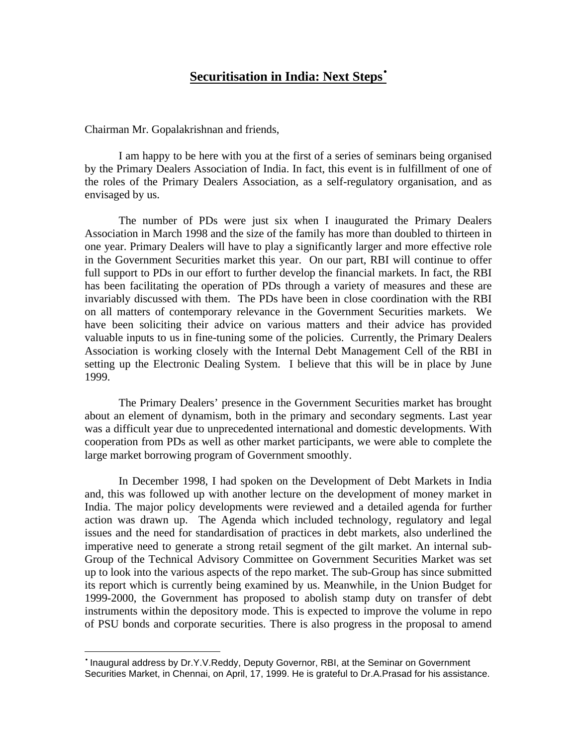# **Securitisation in India: Next Steps**•

Chairman Mr. Gopalakrishnan and friends,

 $\overline{a}$ 

I am happy to be here with you at the first of a series of seminars being organised by the Primary Dealers Association of India. In fact, this event is in fulfillment of one of the roles of the Primary Dealers Association, as a self-regulatory organisation, and as envisaged by us.

The number of PDs were just six when I inaugurated the Primary Dealers Association in March 1998 and the size of the family has more than doubled to thirteen in one year. Primary Dealers will have to play a significantly larger and more effective role in the Government Securities market this year. On our part, RBI will continue to offer full support to PDs in our effort to further develop the financial markets. In fact, the RBI has been facilitating the operation of PDs through a variety of measures and these are invariably discussed with them. The PDs have been in close coordination with the RBI on all matters of contemporary relevance in the Government Securities markets. We have been soliciting their advice on various matters and their advice has provided valuable inputs to us in fine-tuning some of the policies. Currently, the Primary Dealers Association is working closely with the Internal Debt Management Cell of the RBI in setting up the Electronic Dealing System. I believe that this will be in place by June 1999.

The Primary Dealers' presence in the Government Securities market has brought about an element of dynamism, both in the primary and secondary segments. Last year was a difficult year due to unprecedented international and domestic developments. With cooperation from PDs as well as other market participants, we were able to complete the large market borrowing program of Government smoothly.

In December 1998, I had spoken on the Development of Debt Markets in India and, this was followed up with another lecture on the development of money market in India. The major policy developments were reviewed and a detailed agenda for further action was drawn up. The Agenda which included technology, regulatory and legal issues and the need for standardisation of practices in debt markets, also underlined the imperative need to generate a strong retail segment of the gilt market. An internal sub-Group of the Technical Advisory Committee on Government Securities Market was set up to look into the various aspects of the repo market. The sub-Group has since submitted its report which is currently being examined by us. Meanwhile, in the Union Budget for 1999-2000, the Government has proposed to abolish stamp duty on transfer of debt instruments within the depository mode. This is expected to improve the volume in repo of PSU bonds and corporate securities. There is also progress in the proposal to amend

<sup>•</sup> Inaugural address by Dr.Y.V.Reddy, Deputy Governor, RBI, at the Seminar on Government Securities Market, in Chennai, on April, 17, 1999. He is grateful to Dr.A.Prasad for his assistance.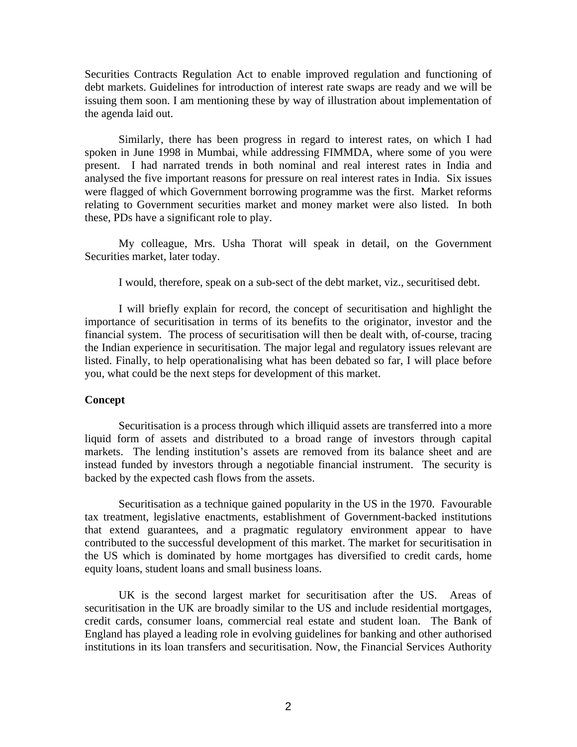Securities Contracts Regulation Act to enable improved regulation and functioning of debt markets. Guidelines for introduction of interest rate swaps are ready and we will be issuing them soon. I am mentioning these by way of illustration about implementation of the agenda laid out.

Similarly, there has been progress in regard to interest rates, on which I had spoken in June 1998 in Mumbai, while addressing FIMMDA, where some of you were present. I had narrated trends in both nominal and real interest rates in India and analysed the five important reasons for pressure on real interest rates in India. Six issues were flagged of which Government borrowing programme was the first. Market reforms relating to Government securities market and money market were also listed. In both these, PDs have a significant role to play.

My colleague, Mrs. Usha Thorat will speak in detail, on the Government Securities market, later today.

I would, therefore, speak on a sub-sect of the debt market, viz., securitised debt.

I will briefly explain for record, the concept of securitisation and highlight the importance of securitisation in terms of its benefits to the originator, investor and the financial system. The process of securitisation will then be dealt with, of-course, tracing the Indian experience in securitisation. The major legal and regulatory issues relevant are listed. Finally, to help operationalising what has been debated so far, I will place before you, what could be the next steps for development of this market.

# **Concept**

Securitisation is a process through which illiquid assets are transferred into a more liquid form of assets and distributed to a broad range of investors through capital markets. The lending institution's assets are removed from its balance sheet and are instead funded by investors through a negotiable financial instrument. The security is backed by the expected cash flows from the assets.

Securitisation as a technique gained popularity in the US in the 1970. Favourable tax treatment, legislative enactments, establishment of Government-backed institutions that extend guarantees, and a pragmatic regulatory environment appear to have contributed to the successful development of this market. The market for securitisation in the US which is dominated by home mortgages has diversified to credit cards, home equity loans, student loans and small business loans.

UK is the second largest market for securitisation after the US. Areas of securitisation in the UK are broadly similar to the US and include residential mortgages, credit cards, consumer loans, commercial real estate and student loan. The Bank of England has played a leading role in evolving guidelines for banking and other authorised institutions in its loan transfers and securitisation. Now, the Financial Services Authority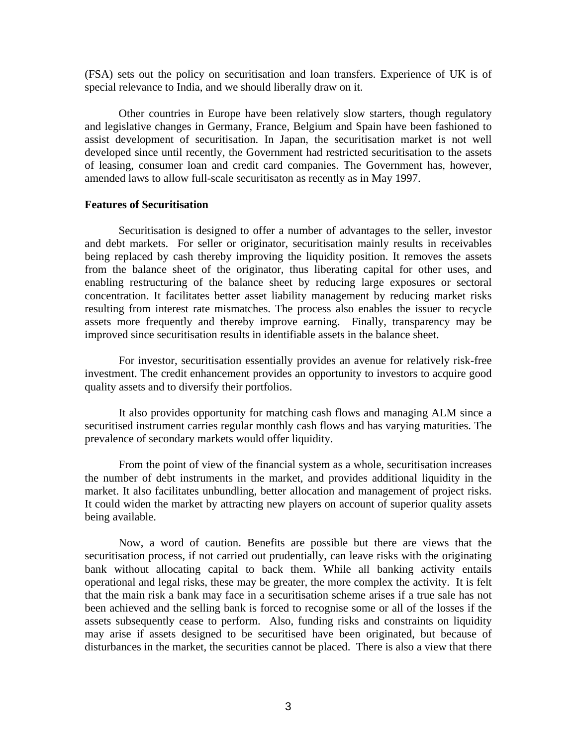(FSA) sets out the policy on securitisation and loan transfers. Experience of UK is of special relevance to India, and we should liberally draw on it.

Other countries in Europe have been relatively slow starters, though regulatory and legislative changes in Germany, France, Belgium and Spain have been fashioned to assist development of securitisation. In Japan, the securitisation market is not well developed since until recently, the Government had restricted securitisation to the assets of leasing, consumer loan and credit card companies. The Government has, however, amended laws to allow full-scale securitisaton as recently as in May 1997.

#### **Features of Securitisation**

Securitisation is designed to offer a number of advantages to the seller, investor and debt markets. For seller or originator, securitisation mainly results in receivables being replaced by cash thereby improving the liquidity position. It removes the assets from the balance sheet of the originator, thus liberating capital for other uses, and enabling restructuring of the balance sheet by reducing large exposures or sectoral concentration. It facilitates better asset liability management by reducing market risks resulting from interest rate mismatches. The process also enables the issuer to recycle assets more frequently and thereby improve earning. Finally, transparency may be improved since securitisation results in identifiable assets in the balance sheet.

For investor, securitisation essentially provides an avenue for relatively risk-free investment. The credit enhancement provides an opportunity to investors to acquire good quality assets and to diversify their portfolios.

It also provides opportunity for matching cash flows and managing ALM since a securitised instrument carries regular monthly cash flows and has varying maturities. The prevalence of secondary markets would offer liquidity.

From the point of view of the financial system as a whole, securitisation increases the number of debt instruments in the market, and provides additional liquidity in the market. It also facilitates unbundling, better allocation and management of project risks. It could widen the market by attracting new players on account of superior quality assets being available.

Now, a word of caution. Benefits are possible but there are views that the securitisation process, if not carried out prudentially, can leave risks with the originating bank without allocating capital to back them. While all banking activity entails operational and legal risks, these may be greater, the more complex the activity. It is felt that the main risk a bank may face in a securitisation scheme arises if a true sale has not been achieved and the selling bank is forced to recognise some or all of the losses if the assets subsequently cease to perform. Also, funding risks and constraints on liquidity may arise if assets designed to be securitised have been originated, but because of disturbances in the market, the securities cannot be placed. There is also a view that there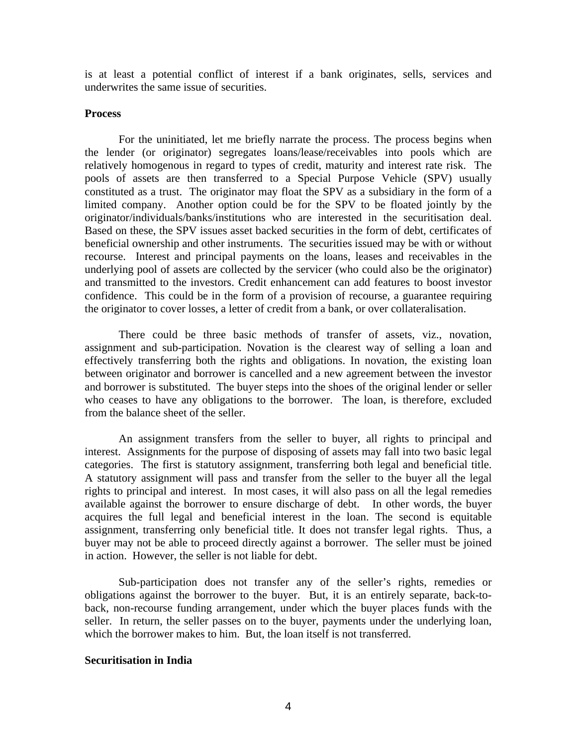is at least a potential conflict of interest if a bank originates, sells, services and underwrites the same issue of securities.

## **Process**

For the uninitiated, let me briefly narrate the process. The process begins when the lender (or originator) segregates loans/lease/receivables into pools which are relatively homogenous in regard to types of credit, maturity and interest rate risk. The pools of assets are then transferred to a Special Purpose Vehicle (SPV) usually constituted as a trust. The originator may float the SPV as a subsidiary in the form of a limited company. Another option could be for the SPV to be floated jointly by the originator/individuals/banks/institutions who are interested in the securitisation deal. Based on these, the SPV issues asset backed securities in the form of debt, certificates of beneficial ownership and other instruments. The securities issued may be with or without recourse. Interest and principal payments on the loans, leases and receivables in the underlying pool of assets are collected by the servicer (who could also be the originator) and transmitted to the investors. Credit enhancement can add features to boost investor confidence. This could be in the form of a provision of recourse, a guarantee requiring the originator to cover losses, a letter of credit from a bank, or over collateralisation.

There could be three basic methods of transfer of assets, viz., novation, assignment and sub-participation. Novation is the clearest way of selling a loan and effectively transferring both the rights and obligations. In novation, the existing loan between originator and borrower is cancelled and a new agreement between the investor and borrower is substituted. The buyer steps into the shoes of the original lender or seller who ceases to have any obligations to the borrower. The loan, is therefore, excluded from the balance sheet of the seller.

An assignment transfers from the seller to buyer, all rights to principal and interest. Assignments for the purpose of disposing of assets may fall into two basic legal categories. The first is statutory assignment, transferring both legal and beneficial title. A statutory assignment will pass and transfer from the seller to the buyer all the legal rights to principal and interest. In most cases, it will also pass on all the legal remedies available against the borrower to ensure discharge of debt. In other words, the buyer acquires the full legal and beneficial interest in the loan. The second is equitable assignment, transferring only beneficial title. It does not transfer legal rights. Thus, a buyer may not be able to proceed directly against a borrower. The seller must be joined in action. However, the seller is not liable for debt.

Sub-participation does not transfer any of the seller's rights, remedies or obligations against the borrower to the buyer. But, it is an entirely separate, back-toback, non-recourse funding arrangement, under which the buyer places funds with the seller. In return, the seller passes on to the buyer, payments under the underlying loan, which the borrower makes to him. But, the loan itself is not transferred.

#### **Securitisation in India**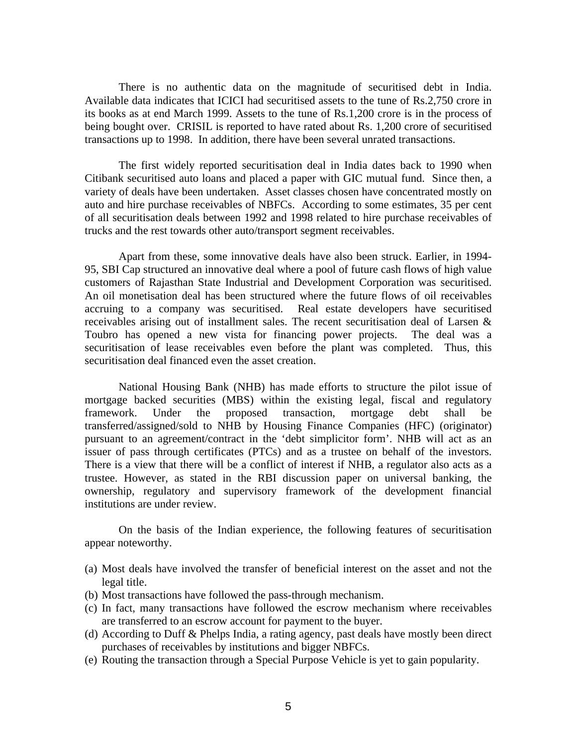There is no authentic data on the magnitude of securitised debt in India. Available data indicates that ICICI had securitised assets to the tune of Rs.2,750 crore in its books as at end March 1999. Assets to the tune of Rs.1,200 crore is in the process of being bought over. CRISIL is reported to have rated about Rs. 1,200 crore of securitised transactions up to 1998. In addition, there have been several unrated transactions.

The first widely reported securitisation deal in India dates back to 1990 when Citibank securitised auto loans and placed a paper with GIC mutual fund. Since then, a variety of deals have been undertaken. Asset classes chosen have concentrated mostly on auto and hire purchase receivables of NBFCs. According to some estimates, 35 per cent of all securitisation deals between 1992 and 1998 related to hire purchase receivables of trucks and the rest towards other auto/transport segment receivables.

Apart from these, some innovative deals have also been struck. Earlier, in 1994- 95, SBI Cap structured an innovative deal where a pool of future cash flows of high value customers of Rajasthan State Industrial and Development Corporation was securitised. An oil monetisation deal has been structured where the future flows of oil receivables accruing to a company was securitised. Real estate developers have securitised receivables arising out of installment sales. The recent securitisation deal of Larsen & Toubro has opened a new vista for financing power projects. The deal was a securitisation of lease receivables even before the plant was completed. Thus, this securitisation deal financed even the asset creation.

National Housing Bank (NHB) has made efforts to structure the pilot issue of mortgage backed securities (MBS) within the existing legal, fiscal and regulatory framework. Under the proposed transaction, mortgage debt shall be transferred/assigned/sold to NHB by Housing Finance Companies (HFC) (originator) pursuant to an agreement/contract in the 'debt simplicitor form'. NHB will act as an issuer of pass through certificates (PTCs) and as a trustee on behalf of the investors. There is a view that there will be a conflict of interest if NHB, a regulator also acts as a trustee. However, as stated in the RBI discussion paper on universal banking, the ownership, regulatory and supervisory framework of the development financial institutions are under review.

On the basis of the Indian experience, the following features of securitisation appear noteworthy.

- (a) Most deals have involved the transfer of beneficial interest on the asset and not the legal title.
- (b) Most transactions have followed the pass-through mechanism.
- (c) In fact, many transactions have followed the escrow mechanism where receivables are transferred to an escrow account for payment to the buyer.
- (d) According to Duff & Phelps India, a rating agency, past deals have mostly been direct purchases of receivables by institutions and bigger NBFCs.
- (e) Routing the transaction through a Special Purpose Vehicle is yet to gain popularity.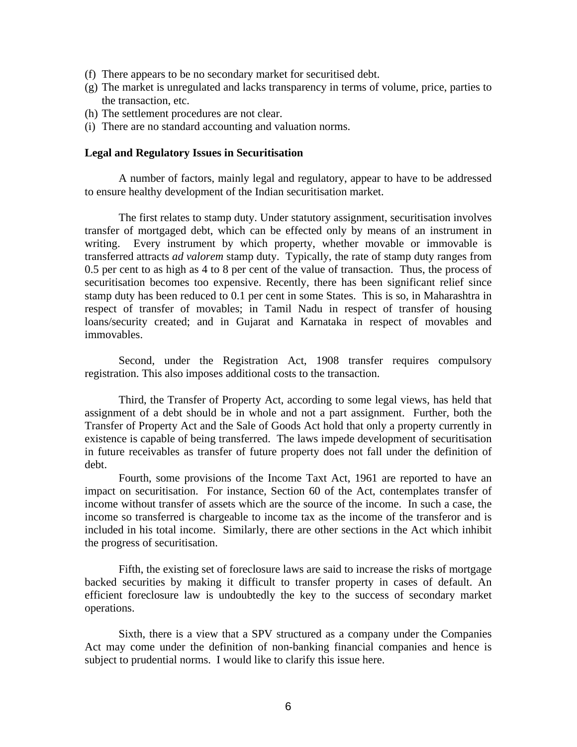- (f) There appears to be no secondary market for securitised debt.
- (g) The market is unregulated and lacks transparency in terms of volume, price, parties to the transaction, etc.
- (h) The settlement procedures are not clear.
- (i) There are no standard accounting and valuation norms.

#### **Legal and Regulatory Issues in Securitisation**

A number of factors, mainly legal and regulatory, appear to have to be addressed to ensure healthy development of the Indian securitisation market.

The first relates to stamp duty. Under statutory assignment, securitisation involves transfer of mortgaged debt, which can be effected only by means of an instrument in writing. Every instrument by which property, whether movable or immovable is transferred attracts *ad valorem* stamp duty. Typically, the rate of stamp duty ranges from 0.5 per cent to as high as 4 to 8 per cent of the value of transaction. Thus, the process of securitisation becomes too expensive. Recently, there has been significant relief since stamp duty has been reduced to 0.1 per cent in some States. This is so, in Maharashtra in respect of transfer of movables; in Tamil Nadu in respect of transfer of housing loans/security created; and in Gujarat and Karnataka in respect of movables and immovables.

Second, under the Registration Act, 1908 transfer requires compulsory registration. This also imposes additional costs to the transaction.

Third, the Transfer of Property Act, according to some legal views, has held that assignment of a debt should be in whole and not a part assignment. Further, both the Transfer of Property Act and the Sale of Goods Act hold that only a property currently in existence is capable of being transferred. The laws impede development of securitisation in future receivables as transfer of future property does not fall under the definition of debt.

Fourth, some provisions of the Income Taxt Act, 1961 are reported to have an impact on securitisation. For instance, Section 60 of the Act, contemplates transfer of income without transfer of assets which are the source of the income. In such a case, the income so transferred is chargeable to income tax as the income of the transferor and is included in his total income. Similarly, there are other sections in the Act which inhibit the progress of securitisation.

Fifth, the existing set of foreclosure laws are said to increase the risks of mortgage backed securities by making it difficult to transfer property in cases of default. An efficient foreclosure law is undoubtedly the key to the success of secondary market operations.

Sixth, there is a view that a SPV structured as a company under the Companies Act may come under the definition of non-banking financial companies and hence is subject to prudential norms. I would like to clarify this issue here.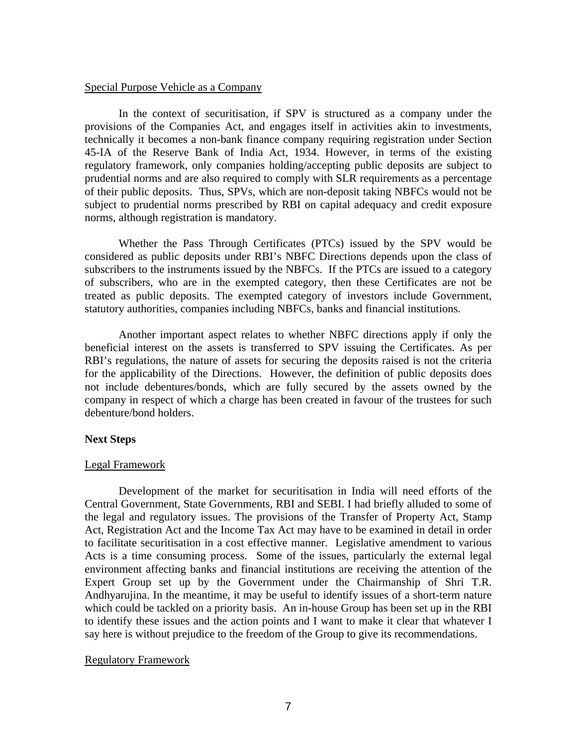#### Special Purpose Vehicle as a Company

In the context of securitisation, if SPV is structured as a company under the provisions of the Companies Act, and engages itself in activities akin to investments, technically it becomes a non-bank finance company requiring registration under Section 45-IA of the Reserve Bank of India Act, 1934. However, in terms of the existing regulatory framework, only companies holding/accepting public deposits are subject to prudential norms and are also required to comply with SLR requirements as a percentage of their public deposits. Thus, SPVs, which are non-deposit taking NBFCs would not be subject to prudential norms prescribed by RBI on capital adequacy and credit exposure norms, although registration is mandatory.

Whether the Pass Through Certificates (PTCs) issued by the SPV would be considered as public deposits under RBI's NBFC Directions depends upon the class of subscribers to the instruments issued by the NBFCs. If the PTCs are issued to a category of subscribers, who are in the exempted category, then these Certificates are not be treated as public deposits. The exempted category of investors include Government, statutory authorities, companies including NBFCs, banks and financial institutions.

Another important aspect relates to whether NBFC directions apply if only the beneficial interest on the assets is transferred to SPV issuing the Certificates. As per RBI's regulations, the nature of assets for securing the deposits raised is not the criteria for the applicability of the Directions. However, the definition of public deposits does not include debentures/bonds, which are fully secured by the assets owned by the company in respect of which a charge has been created in favour of the trustees for such debenture/bond holders.

## **Next Steps**

## Legal Framework

Development of the market for securitisation in India will need efforts of the Central Government, State Governments, RBI and SEBI. I had briefly alluded to some of the legal and regulatory issues. The provisions of the Transfer of Property Act, Stamp Act, Registration Act and the Income Tax Act may have to be examined in detail in order to facilitate securitisation in a cost effective manner. Legislative amendment to various Acts is a time consuming process. Some of the issues, particularly the external legal environment affecting banks and financial institutions are receiving the attention of the Expert Group set up by the Government under the Chairmanship of Shri T.R. Andhyarujina. In the meantime, it may be useful to identify issues of a short-term nature which could be tackled on a priority basis. An in-house Group has been set up in the RBI to identify these issues and the action points and I want to make it clear that whatever I say here is without prejudice to the freedom of the Group to give its recommendations.

## Regulatory Framework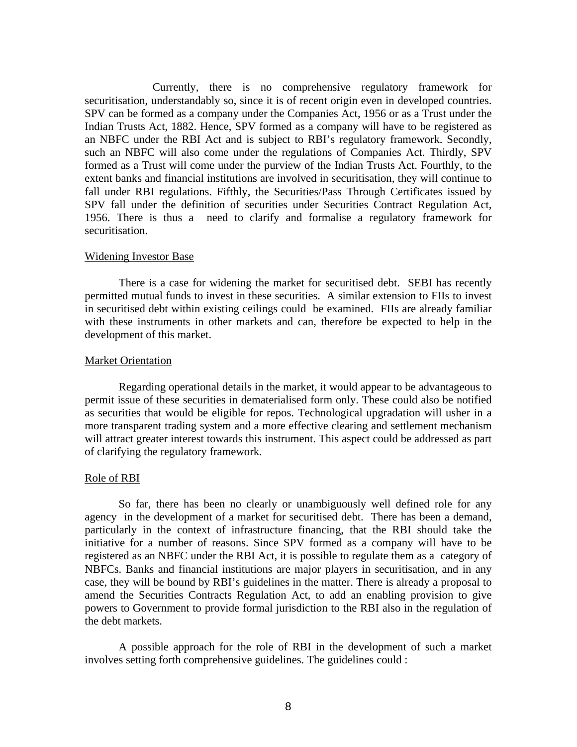Currently, there is no comprehensive regulatory framework for securitisation, understandably so, since it is of recent origin even in developed countries. SPV can be formed as a company under the Companies Act, 1956 or as a Trust under the Indian Trusts Act, 1882. Hence, SPV formed as a company will have to be registered as an NBFC under the RBI Act and is subject to RBI's regulatory framework. Secondly, such an NBFC will also come under the regulations of Companies Act. Thirdly, SPV formed as a Trust will come under the purview of the Indian Trusts Act. Fourthly, to the extent banks and financial institutions are involved in securitisation, they will continue to fall under RBI regulations. Fifthly, the Securities/Pass Through Certificates issued by SPV fall under the definition of securities under Securities Contract Regulation Act, 1956. There is thus a need to clarify and formalise a regulatory framework for securitisation.

#### Widening Investor Base

There is a case for widening the market for securitised debt. SEBI has recently permitted mutual funds to invest in these securities. A similar extension to FIIs to invest in securitised debt within existing ceilings could be examined. FIIs are already familiar with these instruments in other markets and can, therefore be expected to help in the development of this market.

#### Market Orientation

Regarding operational details in the market, it would appear to be advantageous to permit issue of these securities in dematerialised form only. These could also be notified as securities that would be eligible for repos. Technological upgradation will usher in a more transparent trading system and a more effective clearing and settlement mechanism will attract greater interest towards this instrument. This aspect could be addressed as part of clarifying the regulatory framework.

## Role of RBI

So far, there has been no clearly or unambiguously well defined role for any agency in the development of a market for securitised debt. There has been a demand, particularly in the context of infrastructure financing, that the RBI should take the initiative for a number of reasons. Since SPV formed as a company will have to be registered as an NBFC under the RBI Act, it is possible to regulate them as a category of NBFCs. Banks and financial institutions are major players in securitisation, and in any case, they will be bound by RBI's guidelines in the matter. There is already a proposal to amend the Securities Contracts Regulation Act, to add an enabling provision to give powers to Government to provide formal jurisdiction to the RBI also in the regulation of the debt markets.

A possible approach for the role of RBI in the development of such a market involves setting forth comprehensive guidelines. The guidelines could :